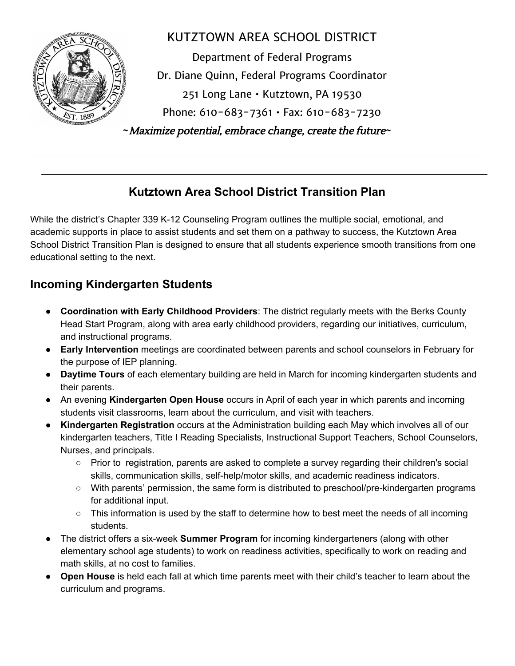

# KUTZTOWN AREA SCHOOL DISTRICT Department of Federal Programs Dr. Diane Quinn, Federal Programs Coordinator 251 Long Lane • Kutztown, PA 19530 Phone: 610-683-7361 • Fax: 610-683-7230 **~**Maximize potential, embrace change, create the future**~**

## **Kutztown Area School District Transition Plan**

While the district's Chapter 339 K-12 Counseling Program outlines the multiple social, emotional, and academic supports in place to assist students and set them on a pathway to success, the Kutztown Area School District Transition Plan is designed to ensure that all students experience smooth transitions from one educational setting to the next.

# **Incoming Kindergarten Students**

- **Coordination with Early Childhood Providers**: The district regularly meets with the Berks County Head Start Program, along with area early childhood providers, regarding our initiatives, curriculum, and instructional programs.
- **Early Intervention** meetings are coordinated between parents and school counselors in February for the purpose of IEP planning.
- **Daytime Tours** of each elementary building are held in March for incoming kindergarten students and their parents.
- An evening **Kindergarten Open House** occurs in April of each year in which parents and incoming students visit classrooms, learn about the curriculum, and visit with teachers.
- **Kindergarten Registration** occurs at the Administration building each May which involves all of our kindergarten teachers, Title I Reading Specialists, Instructional Support Teachers, School Counselors, Nurses, and principals.
	- Prior to registration, parents are asked to complete a survey regarding their children's social skills, communication skills, self-help/motor skills, and academic readiness indicators.
	- With parents' permission, the same form is distributed to preschool/pre-kindergarten programs for additional input.
	- This information is used by the staff to determine how to best meet the needs of all incoming students.
- The district offers a six-week **Summer Program** for incoming kindergarteners (along with other elementary school age students) to work on readiness activities, specifically to work on reading and math skills, at no cost to families.
- **Open House** is held each fall at which time parents meet with their child's teacher to learn about the curriculum and programs.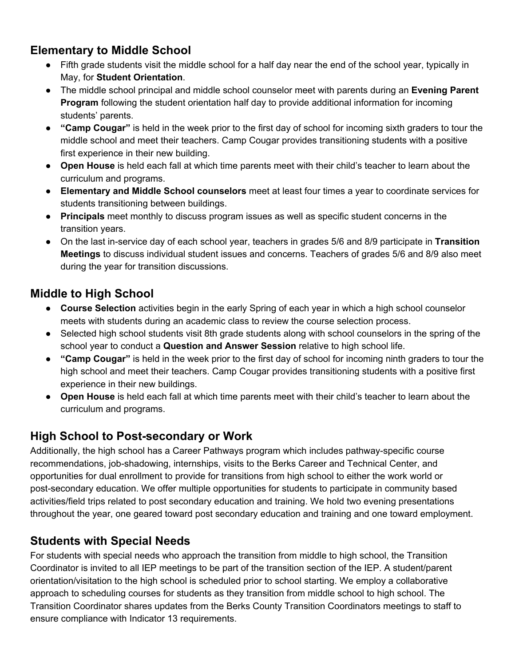#### **Elementary to Middle School**

- Fifth grade students visit the middle school for a half day near the end of the school year, typically in May, for **Student Orientation**.
- The middle school principal and middle school counselor meet with parents during an **Evening Parent Program** following the student orientation half day to provide additional information for incoming students' parents.
- **"Camp Cougar"** is held in the week prior to the first day of school for incoming sixth graders to tour the middle school and meet their teachers. Camp Cougar provides transitioning students with a positive first experience in their new building.
- **Open House** is held each fall at which time parents meet with their child's teacher to learn about the curriculum and programs.
- **Elementary and Middle School counselors** meet at least four times a year to coordinate services for students transitioning between buildings.
- **Principals** meet monthly to discuss program issues as well as specific student concerns in the transition years.
- On the last in-service day of each school year, teachers in grades 5/6 and 8/9 participate in **Transition Meetings** to discuss individual student issues and concerns. Teachers of grades 5/6 and 8/9 also meet during the year for transition discussions.

#### **Middle to High School**

- **Course Selection** activities begin in the early Spring of each year in which a high school counselor meets with students during an academic class to review the course selection process.
- Selected high school students visit 8th grade students along with school counselors in the spring of the school year to conduct a **Question and Answer Session** relative to high school life.
- **"Camp Cougar"** is held in the week prior to the first day of school for incoming ninth graders to tour the high school and meet their teachers. Camp Cougar provides transitioning students with a positive first experience in their new buildings.
- **Open House** is held each fall at which time parents meet with their child's teacher to learn about the curriculum and programs.

## **High School to Post-secondary or Work**

Additionally, the high school has a Career Pathways program which includes pathway-specific course recommendations, job-shadowing, internships, visits to the Berks Career and Technical Center, and opportunities for dual enrollment to provide for transitions from high school to either the work world or post-secondary education. We offer multiple opportunities for students to participate in community based activities/field trips related to post secondary education and training. We hold two evening presentations throughout the year, one geared toward post secondary education and training and one toward employment.

#### **Students with Special Needs**

For students with special needs who approach the transition from middle to high school, the Transition Coordinator is invited to all IEP meetings to be part of the transition section of the IEP. A student/parent orientation/visitation to the high school is scheduled prior to school starting. We employ a collaborative approach to scheduling courses for students as they transition from middle school to high school. The Transition Coordinator shares updates from the Berks County Transition Coordinators meetings to staff to ensure compliance with Indicator 13 requirements.